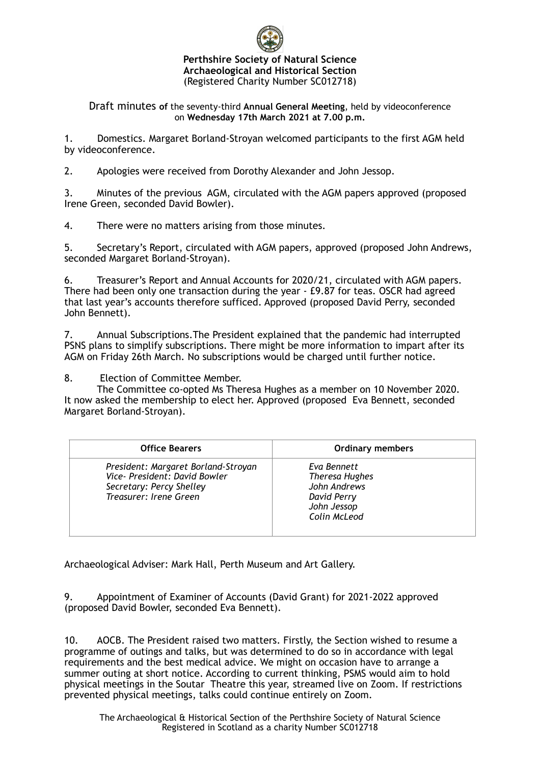

## **Perthshire Society of Natural Science Archaeological and Historical Section** (Registered Charity Number SC012718)

Draft minutes **of** the seventy-third **Annual General Meeting**, held by videoconference on **Wednesday 17th March 2021 at 7.00 p.m.**

1. Domestics. Margaret Borland-Stroyan welcomed participants to the first AGM held by videoconference.

2. Apologies were received from Dorothy Alexander and John Jessop.

3. Minutes of the previous AGM, circulated with the AGM papers approved (proposed Irene Green, seconded David Bowler).

4. There were no matters arising from those minutes.

5. Secretary's Report, circulated with AGM papers, approved (proposed John Andrews, seconded Margaret Borland-Stroyan).

6. Treasurer's Report and Annual Accounts for 2020/21, circulated with AGM papers. There had been only one transaction during the year - £9.87 for teas. OSCR had agreed that last year's accounts therefore sufficed. Approved (proposed David Perry, seconded John Bennett).

7. Annual Subscriptions.The President explained that the pandemic had interrupted PSNS plans to simplify subscriptions. There might be more information to impart after its AGM on Friday 26th March. No subscriptions would be charged until further notice.

8. Election of Committee Member.

The Committee co-opted Ms Theresa Hughes as a member on 10 November 2020. It now asked the membership to elect her. Approved (proposed Eva Bennett, seconded Margaret Borland-Stroyan).

| <b>Office Bearers</b>                                                                                                      | <b>Ordinary members</b>                                                                            |
|----------------------------------------------------------------------------------------------------------------------------|----------------------------------------------------------------------------------------------------|
| President: Margaret Borland-Stroyan<br>Vice- President: David Bowler<br>Secretary: Percy Shelley<br>Treasurer: Irene Green | Eva Bennett<br><b>Theresa Hughes</b><br>John Andrews<br>David Perry<br>John Jessop<br>Colin McLeod |

Archaeological Adviser: Mark Hall, Perth Museum and Art Gallery.

9. Appointment of Examiner of Accounts (David Grant) for 2021-2022 approved (proposed David Bowler, seconded Eva Bennett).

10. AOCB. The President raised two matters. Firstly, the Section wished to resume a programme of outings and talks, but was determined to do so in accordance with legal requirements and the best medical advice. We might on occasion have to arrange a summer outing at short notice. According to current thinking, PSMS would aim to hold physical meetings in the Soutar Theatre this year, streamed live on Zoom. If restrictions prevented physical meetings, talks could continue entirely on Zoom.